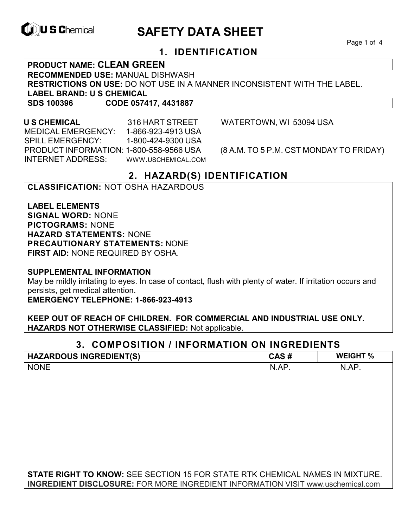

# **ID, U S Chemical CALL SAFETY DATA SHEET**

Page 1 of 4

# **1. IDENTIFICATION**

**PRODUCT NAME: CLEAN GREEN RECOMMENDED USE:** MANUAL DISHWASH **RESTRICTIONS ON USE:** DO NOT USE IN A MANNER INCONSISTENT WITH THE LABEL. **LABEL BRAND: U S CHEMICAL SDS 100396 CODE 057417, 4431887**

 MEDICAL EMERGENCY: 1-866-923-4913 USA SPILL EMERGENCY: 1-800-424-9300 USA PRODUCT INFORMATION: 1-800-558-9566 USA (8 A.M. TO 5 P.M. CST MONDAY TO FRIDAY) INTERNET ADDRESS: WWW.USCHEMICAL.COM

**U S CHEMICAL** 316 HART STREET WATERTOWN, WI 53094 USA

# **2. HAZARD(S) IDENTIFICATION**

#### **CLASSIFICATION:** NOT OSHA HAZARDOUS

**LABEL ELEMENTS SIGNAL WORD:** NONE **PICTOGRAMS:** NONE **HAZARD STATEMENTS:** NONE **PRECAUTIONARY STATEMENTS:** NONE **FIRST AID:** NONE REQUIRED BY OSHA.

**SUPPLEMENTAL INFORMATION** 

May be mildly irritating to eyes. In case of contact, flush with plenty of water. If irritation occurs and persists, get medical attention.

**EMERGENCY TELEPHONE: 1-866-923-4913** 

**KEEP OUT OF REACH OF CHILDREN. FOR COMMERCIAL AND INDUSTRIAL USE ONLY. HAZARDS NOT OTHERWISE CLASSIFIED:** Not applicable.

# **3. COMPOSITION / INFORMATION ON INGREDIENTS**

| <b>HAZARDOUS INGREDIENT(S)</b>                                                         | CAS#  | <b>WEIGHT %</b> |
|----------------------------------------------------------------------------------------|-------|-----------------|
| <b>NONE</b>                                                                            | N.AP. | N.AP.           |
|                                                                                        |       |                 |
|                                                                                        |       |                 |
|                                                                                        |       |                 |
|                                                                                        |       |                 |
|                                                                                        |       |                 |
|                                                                                        |       |                 |
|                                                                                        |       |                 |
|                                                                                        |       |                 |
|                                                                                        |       |                 |
| <b>STATE RIGHT TO KNOW:</b> SEE SECTION 15 FOR STATE RTK CHEMICAL NAMES IN MIXTURE.    |       |                 |
| <b>INGREDIENT DISCLOSURE:</b> FOR MORE INGREDIENT INFORMATION VISIT www.uschemical.com |       |                 |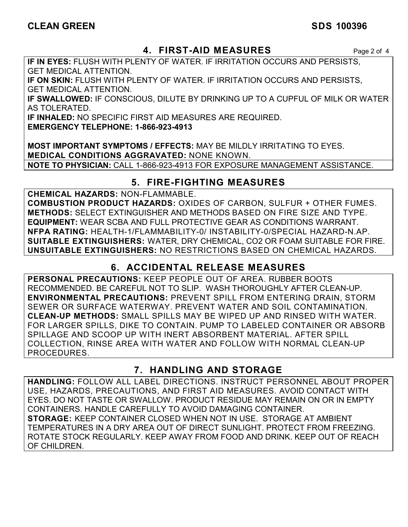# **CLEAN GREEN SDS 100396**

# **4. FIRST-AID MEASURES** Page 2 of 4

**IF IN EYES:** FLUSH WITH PLENTY OF WATER. IF IRRITATION OCCURS AND PERSISTS, GET MEDICAL ATTENTION.

**IF ON SKIN:** FLUSH WITH PLENTY OF WATER. IF IRRITATION OCCURS AND PERSISTS, GET MEDICAL ATTENTION.

**IF SWALLOWED:** IF CONSCIOUS, DILUTE BY DRINKING UP TO A CUPFUL OF MILK OR WATER AS TOLERATED.

**IF INHALED:** NO SPECIFIC FIRST AID MEASURES ARE REQUIRED.

**EMERGENCY TELEPHONE: 1-866-923-4913** 

**MOST IMPORTANT SYMPTOMS / EFFECTS:** MAY BE MILDLY IRRITATING TO EYES. **MEDICAL CONDITIONS AGGRAVATED:** NONE KNOWN. **NOTE TO PHYSICIAN:** CALL 1-866-923-4913 FOR EXPOSURE MANAGEMENT ASSISTANCE.

# **5. FIRE-FIGHTING MEASURES**

**CHEMICAL HAZARDS:** NON-FLAMMABLE.

**COMBUSTION PRODUCT HAZARDS:** OXIDES OF CARBON, SULFUR + OTHER FUMES. **METHODS:** SELECT EXTINGUISHER AND METHODS BASED ON FIRE SIZE AND TYPE. **EQUIPMENT:** WEAR SCBA AND FULL PROTECTIVE GEAR AS CONDITIONS WARRANT. **NFPA RATING:** HEALTH-1/FLAMMABILITY-0/ INSTABILITY-0/SPECIAL HAZARD-N.AP. **SUITABLE EXTINGUISHERS:** WATER, DRY CHEMICAL, CO2 OR FOAM SUITABLE FOR FIRE. **UNSUITABLE EXTINGUISHERS:** NO RESTRICTIONS BASED ON CHEMICAL HAZARDS.

# **6. ACCIDENTAL RELEASE MEASURES**

**PERSONAL PRECAUTIONS:** KEEP PEOPLE OUT OF AREA. RUBBER BOOTS RECOMMENDED. BE CAREFUL NOT TO SLIP. WASH THOROUGHLY AFTER CLEAN-UP. **ENVIRONMENTAL PRECAUTIONS:** PREVENT SPILL FROM ENTERING DRAIN, STORM SEWER OR SURFACE WATERWAY. PREVENT WATER AND SOIL CONTAMINATION. **CLEAN-UP METHODS:** SMALL SPILLS MAY BE WIPED UP AND RINSED WITH WATER. FOR LARGER SPILLS, DIKE TO CONTAIN. PUMP TO LABELED CONTAINER OR ABSORB SPILLAGE AND SCOOP UP WITH INERT ABSORBENT MATERIAL. AFTER SPILL COLLECTION, RINSE AREA WITH WATER AND FOLLOW WITH NORMAL CLEAN-UP PROCEDURES.

# **7. HANDLING AND STORAGE**

**HANDLING:** FOLLOW ALL LABEL DIRECTIONS. INSTRUCT PERSONNEL ABOUT PROPER USE, HAZARDS, PRECAUTIONS, AND FIRST AID MEASURES. AVOID CONTACT WITH EYES. DO NOT TASTE OR SWALLOW. PRODUCT RESIDUE MAY REMAIN ON OR IN EMPTY CONTAINERS. HANDLE CAREFULLY TO AVOID DAMAGING CONTAINER. **STORAGE:** KEEP CONTAINER CLOSED WHEN NOT IN USE. STORAGE AT AMBIENT TEMPERATURES IN A DRY AREA OUT OF DIRECT SUNLIGHT. PROTECT FROM FREEZING. ROTATE STOCK REGULARLY. KEEP AWAY FROM FOOD AND DRINK. KEEP OUT OF REACH OF CHILDREN.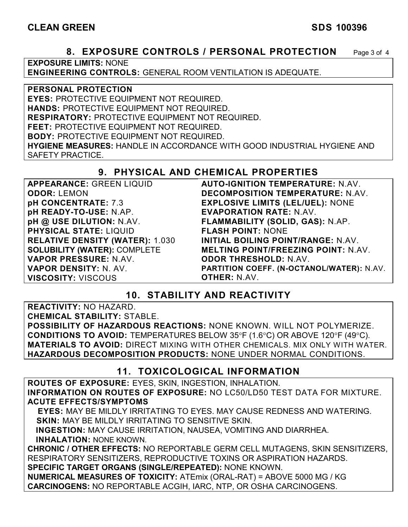### **8. EXPOSURE CONTROLS / PERSONAL PROTECTION** Page 3 of 4

**EXPOSURE LIMITS:** NONE

**ENGINEERING CONTROLS:** GENERAL ROOM VENTILATION IS ADEQUATE.

#### **PERSONAL PROTECTION**

**EYES:** PROTECTIVE EQUIPMENT NOT REQUIRED. **HANDS:** PROTECTIVE EQUIPMENT NOT REQUIRED. **RESPIRATORY:** PROTECTIVE EQUIPMENT NOT REQUIRED. **FEET:** PROTECTIVE EQUIPMENT NOT REQUIRED. **BODY:** PROTECTIVE EQUIPMENT NOT REQUIRED.

**HYGIENE MEASURES:** HANDLE IN ACCORDANCE WITH GOOD INDUSTRIAL HYGIENE AND SAFETY PRACTICE.

# **9. PHYSICAL AND CHEMICAL PROPERTIES**

| <b>APPEARANCE: GREEN LIQUID</b>        | <b>AUTO-IGNITION TEMPERATURE: N.AV.</b>    |
|----------------------------------------|--------------------------------------------|
| <b>ODOR: LEMON</b>                     | DECOMPOSITION TEMPERATURE: N.AV.           |
| pH CONCENTRATE: 7.3                    | <b>EXPLOSIVE LIMITS (LEL/UEL): NONE</b>    |
| pH READY-TO-USE: N.AP.                 | <b>EVAPORATION RATE: N.AV.</b>             |
| pH @ USE DILUTION: N.AV.               | FLAMMABILITY (SOLID, GAS): N.AP.           |
| <b>PHYSICAL STATE: LIQUID</b>          | <b>FLASH POINT: NONE</b>                   |
| <b>RELATIVE DENSITY (WATER): 1.030</b> | INITIAL BOILING POINT/RANGE: N.AV.         |
| <b>SOLUBILITY (WATER): COMPLETE</b>    | <b>MELTING POINT/FREEZING POINT: N.AV.</b> |
| VAPOR PRESSURE: N.AV.                  | <b>ODOR THRESHOLD: N.AV.</b>               |
| VAPOR DENSITY: N. AV.                  | PARTITION COEFF. (N-OCTANOL/WATER): N.AV.  |
| <b>VISCOSITY: VISCOUS</b>              | <b>OTHER: N.AV.</b>                        |

# **10. STABILITY AND REACTIVITY**

**REACTIVITY:** NO HAZARD.

**CHEMICAL STABILITY:** STABLE.

**POSSIBILITY OF HAZARDOUS REACTIONS:** NONE KNOWN. WILL NOT POLYMERIZE. **CONDITIONS TO AVOID:** TEMPERATURES BELOW 35°F (1.6°C) OR ABOVE 120°F (49°C). **MATERIALS TO AVOID:** DIRECT MIXING WITH OTHER CHEMICALS. MIX ONLY WITH WATER. **HAZARDOUS DECOMPOSITION PRODUCTS:** NONE UNDER NORMAL CONDITIONS.

# **11. TOXICOLOGICAL INFORMATION**

**ROUTES OF EXPOSURE:** EYES, SKIN, INGESTION, INHALATION. **INFORMATION ON ROUTES OF EXPOSURE:** NO LC50/LD50 TEST DATA FOR MIXTURE. **ACUTE EFFECTS/SYMPTOMS**

 **EYES:** MAY BE MILDLY IRRITATING TO EYES. MAY CAUSE REDNESS AND WATERING. **SKIN:** MAY BE MILDLY IRRITATING TO SENSITIVE SKIN.

 **INGESTION:** MAY CAUSE IRRITATION, NAUSEA, VOMITING AND DIARRHEA. **INHALATION:** NONE KNOWN.

**CHRONIC / OTHER EFFECTS:** NO REPORTABLE GERM CELL MUTAGENS, SKIN SENSITIZERS, RESPIRATORY SENSITIZERS, REPRODUCTIVE TOXINS OR ASPIRATION HAZARDS. **SPECIFIC TARGET ORGANS (SINGLE/REPEATED):** NONE KNOWN.

**NUMERICAL MEASURES OF TOXICITY:** ATEmix (ORAL-RAT) = ABOVE 5000 MG / KG **CARCINOGENS:** NO REPORTABLE ACGIH, IARC, NTP, OR OSHA CARCINOGENS.